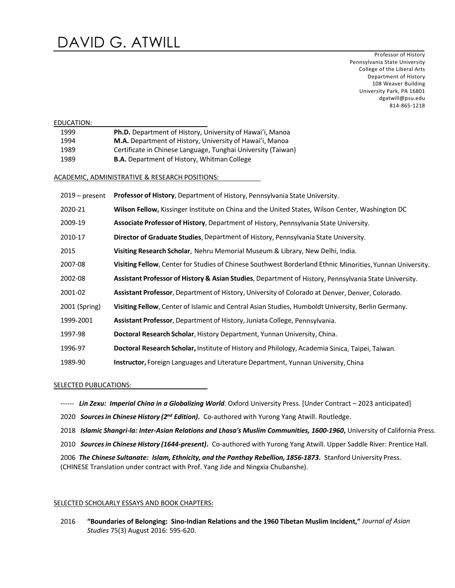Professor of History Pennsylvania State University College of the Liberal Arts Department of History 108 Weaver Building University Park, PA 16801 dgatwill@psu.edu 814-865-1218

| EDUCATION:                                     |                  |                                                                                                           |
|------------------------------------------------|------------------|-----------------------------------------------------------------------------------------------------------|
|                                                | 1999             | Ph.D. Department of History, University of Hawai'i, Manoa                                                 |
|                                                | 1994             | M.A. Department of History, University of Hawai'i, Manoa                                                  |
|                                                | 1989             | Certificate in Chinese Language, Tunghai University (Taiwan)                                              |
|                                                | 1989             | <b>B.A.</b> Department of History, Whitman College                                                        |
| ACADEMIC, ADMINISTRATIVE & RESEARCH POSITIONS: |                  |                                                                                                           |
|                                                | $2019$ – present | <b>Professor of History</b> , Department of History, Pennsylvania State University.                       |
|                                                | 2020-21          | Wilson Fellow, Kissinger Institute on China and the United States, Wilson Center, Washington DC           |
|                                                | 2009-19          | Associate Professor of History, Department of History, Pennsylvania State University.                     |
|                                                | 2010-17          | Director of Graduate Studies, Department of History, Pennsylvania State University.                       |
|                                                | 2015             | Visiting Research Scholar, Nehru Memorial Museum & Library, New Delhi, India.                             |
|                                                | 2007-08          | Visiting Fellow, Center for Studies of Chinese Southwest Borderland Ethnic Minorities, Yunnan University. |
|                                                | 2002-08          | Assistant Professor of History & Asian Studies, Department of History, Pennsylvania State University.     |
|                                                | 2001-02          | Assistant Professor, Department of History, University of Colorado at Denver, Denver, Colorado.           |
|                                                | 2001 (Spring)    | Visiting Fellow, Center of Islamic and Central Asian Studies, Humboldt University, Berlin Germany.        |
|                                                | 1999-2001        | Assistant Professor, Department of History, Juniata College, Pennsylvania.                                |
|                                                | 1997-98          | Doctoral Research Scholar, History Department, Yunnan University, China.                                  |
|                                                | 1996-97          | Doctoral Research Scholar, Institute of History and Philology, Academia Sinica, Taipei, Taiwan.           |
|                                                | 1989-90          | <b>Instructor, Foreign Languages and Literature Department, Yunnan University, China</b>                  |
|                                                |                  |                                                                                                           |

SELECTED PUBLICATIONS:

*------ Lin Zexu: Imperial China in a Globalizing World*. Oxford University Press. [Under Contract – 2023 anticipated]

2020 *Sourcesin Chinese History (2nd Edition)***.** Co-authored with Yurong Yang Atwill. Routledge.

- 2018 *Islamic Shangri-la: Inter-Asian Relations and Lhasa's Muslim Communities, 1600-1960***,** University of California Press.
- 2010 *Sourcesin Chinese History (1644-present)***.** Co-authored with Yurong Yang Atwill. Upper Saddle River: Prentice Hall.

2006 *The Chinese Sultanate: Islam, Ethnicity, and the Panthay Rebellion, 1856-1873***.** Stanford University Press. (CHINESE Translation under contract with Prof. Yang Jide and Ningxia Chubanshe).

## SELECTED SCHOLARLY ESSAYS AND BOOK CHAPTERS:

2016 **"Boundaries of Belonging: Sino-Indian Relations and the 1960 Tibetan Muslim Incident,"** *Journal of Asian Studies* 75(3) August 2016: 595-620.